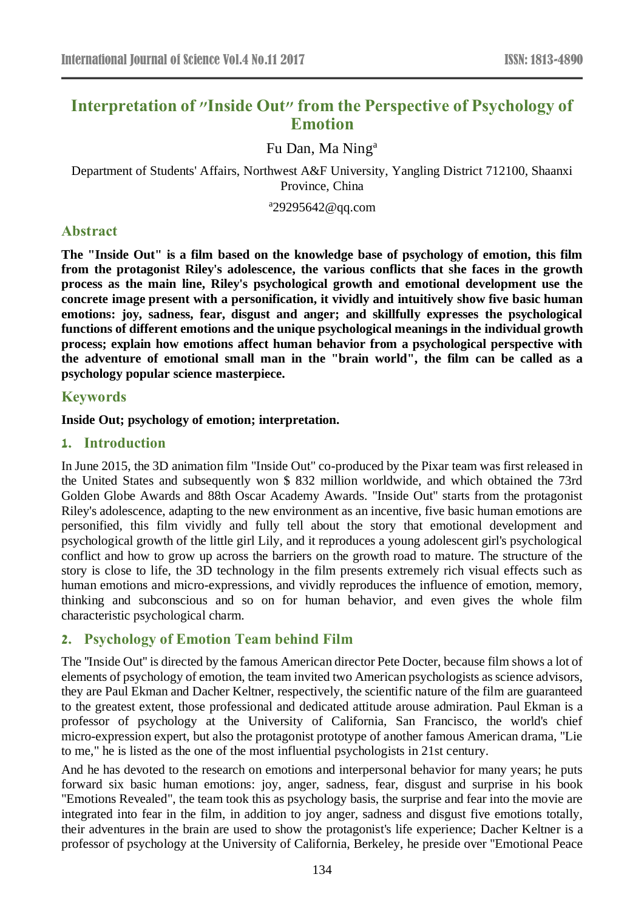# **Interpretation of "Inside Out" from the Perspective of Psychology of Emotion**

Fu Dan, Ma Ning<sup>a</sup>

Department of Students' Affairs, Northwest A&F University, Yangling District 712100, Shaanxi Province, China

a 29295642@qq.com

### **Abstract**

**The "Inside Out" is a film based on the knowledge base of psychology of emotion, this film from the protagonist Riley's adolescence, the various conflicts that she faces in the growth process as the main line, Riley's psychological growth and emotional development use the concrete image present with a personification, it vividly and intuitively show five basic human emotions: joy, sadness, fear, disgust and anger; and skillfully expresses the psychological functions of different emotions and the unique psychological meanings in the individual growth process; explain how emotions affect human behavior from a psychological perspective with the adventure of emotional small man in the "brain world", the film can be called as a psychology popular science masterpiece.**

### **Keywords**

#### **Inside Out; psychology of emotion; interpretation.**

### **1. Introduction**

In June 2015, the 3D animation film "Inside Out" co-produced by the Pixar team was first released in the United States and subsequently won \$ 832 million worldwide, and which obtained the 73rd Golden Globe Awards and 88th Oscar Academy Awards. "Inside Out" starts from the protagonist Riley's adolescence, adapting to the new environment as an incentive, five basic human emotions are personified, this film vividly and fully tell about the story that emotional development and psychological growth of the little girl Lily, and it reproduces a young adolescent girl's psychological conflict and how to grow up across the barriers on the growth road to mature. The structure of the story is close to life, the 3D technology in the film presents extremely rich visual effects such as human emotions and micro-expressions, and vividly reproduces the influence of emotion, memory, thinking and subconscious and so on for human behavior, and even gives the whole film characteristic psychological charm.

## **2. Psychology of Emotion Team behind Film**

The ''Inside Out'' is directed by the famous American director Pete Docter, because film shows a lot of elements of psychology of emotion, the team invited two American psychologists as science advisors, they are Paul Ekman and Dacher Keltner, respectively, the scientific nature of the film are guaranteed to the greatest extent, those professional and dedicated attitude arouse admiration. Paul Ekman is a professor of psychology at the University of California, San Francisco, the world's chief micro-expression expert, but also the protagonist prototype of another famous American drama, "Lie to me," he is listed as the one of the most influential psychologists in 21st century.

And he has devoted to the research on emotions and interpersonal behavior for many years; he puts forward six basic human emotions: joy, anger, sadness, fear, disgust and surprise in his book "Emotions Revealed", the team took this as psychology basis, the surprise and fear into the movie are integrated into fear in the film, in addition to joy anger, sadness and disgust five emotions totally, their adventures in the brain are used to show the protagonist's life experience; Dacher Keltner is a professor of psychology at the University of California, Berkeley, he preside over "Emotional Peace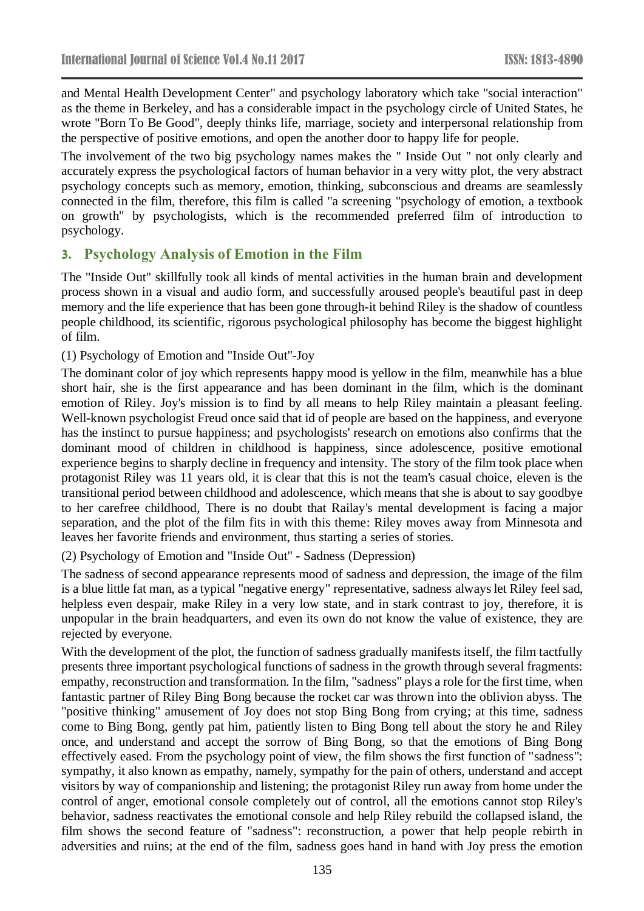and Mental Health Development Center" and psychology laboratory which take "social interaction" as the theme in Berkeley, and has a considerable impact in the psychology circle of United States, he wrote "Born To Be Good", deeply thinks life, marriage, society and interpersonal relationship from the perspective of positive emotions, and open the another door to happy life for people.

The involvement of the two big psychology names makes the " Inside Out " not only clearly and accurately express the psychological factors of human behavior in a very witty plot, the very abstract psychology concepts such as memory, emotion, thinking, subconscious and dreams are seamlessly connected in the film, therefore, this film is called "a screening "psychology of emotion, a textbook on growth" by psychologists, which is the recommended preferred film of introduction to psychology.

### **3. Psychology Analysis of Emotion in the Film**

The "Inside Out" skillfully took all kinds of mental activities in the human brain and development process shown in a visual and audio form, and successfully aroused people's beautiful past in deep memory and the life experience that has been gone through-it behind Riley is the shadow of countless people childhood, its scientific, rigorous psychological philosophy has become the biggest highlight of film.

(1) Psychology of Emotion and "Inside Out"-Joy

The dominant color of joy which represents happy mood is yellow in the film, meanwhile has a blue short hair, she is the first appearance and has been dominant in the film, which is the dominant emotion of Riley. Joy's mission is to find by all means to help Riley maintain a pleasant feeling. Well-known psychologist Freud once said that id of people are based on the happiness, and everyone has the instinct to pursue happiness; and psychologists' research on emotions also confirms that the dominant mood of children in childhood is happiness, since adolescence, positive emotional experience begins to sharply decline in frequency and intensity. The story of the film took place when protagonist Riley was 11 years old, it is clear that this is not the team's casual choice, eleven is the transitional period between childhood and adolescence, which means that she is about to say goodbye to her carefree childhood, There is no doubt that Railay's mental development is facing a major separation, and the plot of the film fits in with this theme: Riley moves away from Minnesota and leaves her favorite friends and environment, thus starting a series of stories.

(2) Psychology of Emotion and "Inside Out" - Sadness (Depression)

The sadness of second appearance represents mood of sadness and depression, the image of the film is a blue little fat man, as a typical "negative energy" representative, sadness always let Riley feel sad, helpless even despair, make Riley in a very low state, and in stark contrast to joy, therefore, it is unpopular in the brain headquarters, and even its own do not know the value of existence, they are rejected by everyone.

With the development of the plot, the function of sadness gradually manifests itself, the film tactfully presents three important psychological functions of sadness in the growth through several fragments: empathy, reconstruction and transformation. In the film, "sadness" plays a role for the first time, when fantastic partner of Riley Bing Bong because the rocket car was thrown into the oblivion abyss. The "positive thinking" amusement of Joy does not stop Bing Bong from crying; at this time, sadness come to Bing Bong, gently pat him, patiently listen to Bing Bong tell about the story he and Riley once, and understand and accept the sorrow of Bing Bong, so that the emotions of Bing Bong effectively eased. From the psychology point of view, the film shows the first function of "sadness": sympathy, it also known as empathy, namely, sympathy for the pain of others, understand and accept visitors by way of companionship and listening; the protagonist Riley run away from home under the control of anger, emotional console completely out of control, all the emotions cannot stop Riley's behavior, sadness reactivates the emotional console and help Riley rebuild the collapsed island, the film shows the second feature of "sadness": reconstruction, a power that help people rebirth in adversities and ruins; at the end of the film, sadness goes hand in hand with Joy press the emotion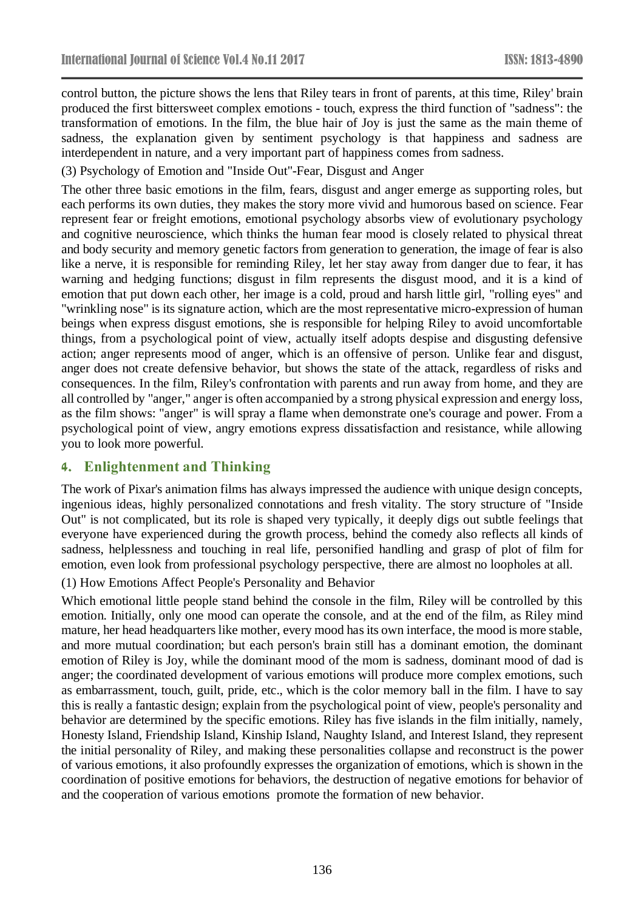control button, the picture shows the lens that Riley tears in front of parents, at this time, Riley' brain produced the first bittersweet complex emotions - touch, express the third function of "sadness": the transformation of emotions. In the film, the blue hair of Joy is just the same as the main theme of sadness, the explanation given by sentiment psychology is that happiness and sadness are interdependent in nature, and a very important part of happiness comes from sadness.

(3) Psychology of Emotion and "Inside Out"-Fear, Disgust and Anger

The other three basic emotions in the film, fears, disgust and anger emerge as supporting roles, but each performs its own duties, they makes the story more vivid and humorous based on science. Fear represent fear or freight emotions, emotional psychology absorbs view of evolutionary psychology and cognitive neuroscience, which thinks the human fear mood is closely related to physical threat and body security and memory genetic factors from generation to generation, the image of fear is also like a nerve, it is responsible for reminding Riley, let her stay away from danger due to fear, it has warning and hedging functions; disgust in film represents the disgust mood, and it is a kind of emotion that put down each other, her image is a cold, proud and harsh little girl, "rolling eyes" and "wrinkling nose" is its signature action, which are the most representative micro-expression of human beings when express disgust emotions, she is responsible for helping Riley to avoid uncomfortable things, from a psychological point of view, actually itself adopts despise and disgusting defensive action; anger represents mood of anger, which is an offensive of person. Unlike fear and disgust, anger does not create defensive behavior, but shows the state of the attack, regardless of risks and consequences. In the film, Riley's confrontation with parents and run away from home, and they are all controlled by "anger," anger is often accompanied by a strong physical expression and energy loss, as the film shows: "anger" is will spray a flame when demonstrate one's courage and power. From a psychological point of view, angry emotions express dissatisfaction and resistance, while allowing you to look more powerful.

## **4. Enlightenment and Thinking**

The work of Pixar's animation films has always impressed the audience with unique design concepts, ingenious ideas, highly personalized connotations and fresh vitality. The story structure of "Inside Out" is not complicated, but its role is shaped very typically, it deeply digs out subtle feelings that everyone have experienced during the growth process, behind the comedy also reflects all kinds of sadness, helplessness and touching in real life, personified handling and grasp of plot of film for emotion, even look from professional psychology perspective, there are almost no loopholes at all.

(1) How Emotions Affect People's Personality and Behavior

Which emotional little people stand behind the console in the film, Riley will be controlled by this emotion. Initially, only one mood can operate the console, and at the end of the film, as Riley mind mature, her head headquarters like mother, every mood has its own interface, the mood is more stable, and more mutual coordination; but each person's brain still has a dominant emotion, the dominant emotion of Riley is Joy, while the dominant mood of the mom is sadness, dominant mood of dad is anger; the coordinated development of various emotions will produce more complex emotions, such as embarrassment, touch, guilt, pride, etc., which is the color memory ball in the film. I have to say this is really a fantastic design; explain from the psychological point of view, people's personality and behavior are determined by the specific emotions. Riley has five islands in the film initially, namely, Honesty Island, Friendship Island, Kinship Island, Naughty Island, and Interest Island, they represent the initial personality of Riley, and making these personalities collapse and reconstruct is the power of various emotions, it also profoundly expresses the organization of emotions, which is shown in the coordination of positive emotions for behaviors, the destruction of negative emotions for behavior of and the cooperation of various emotions promote the formation of new behavior.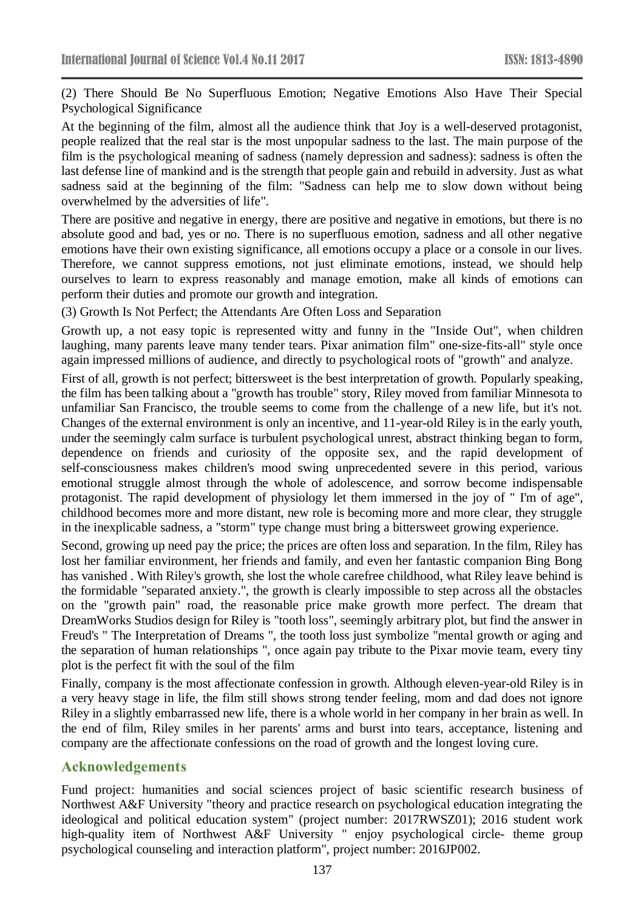(2) There Should Be No Superfluous Emotion; Negative Emotions Also Have Their Special Psychological Significance

At the beginning of the film, almost all the audience think that Joy is a well-deserved protagonist, people realized that the real star is the most unpopular sadness to the last. The main purpose of the film is the psychological meaning of sadness (namely depression and sadness): sadness is often the last defense line of mankind and is the strength that people gain and rebuild in adversity. Just as what sadness said at the beginning of the film: "Sadness can help me to slow down without being overwhelmed by the adversities of life".

There are positive and negative in energy, there are positive and negative in emotions, but there is no absolute good and bad, yes or no. There is no superfluous emotion, sadness and all other negative emotions have their own existing significance, all emotions occupy a place or a console in our lives. Therefore, we cannot suppress emotions, not just eliminate emotions, instead, we should help ourselves to learn to express reasonably and manage emotion, make all kinds of emotions can perform their duties and promote our growth and integration.

(3) Growth Is Not Perfect; the Attendants Are Often Loss and Separation

Growth up, a not easy topic is represented witty and funny in the "Inside Out", when children laughing, many parents leave many tender tears. Pixar animation film" one-size-fits-all" style once again impressed millions of audience, and directly to psychological roots of "growth" and analyze.

First of all, growth is not perfect; bittersweet is the best interpretation of growth. Popularly speaking, the film has been talking about a "growth has trouble" story, Riley moved from familiar Minnesota to unfamiliar San Francisco, the trouble seems to come from the challenge of a new life, but it's not. Changes of the external environment is only an incentive, and 11-year-old Riley is in the early youth, under the seemingly calm surface is turbulent psychological unrest, abstract thinking began to form, dependence on friends and curiosity of the opposite sex, and the rapid development of self-consciousness makes children's mood swing unprecedented severe in this period, various emotional struggle almost through the whole of adolescence, and sorrow become indispensable protagonist. The rapid development of physiology let them immersed in the joy of " I'm of age", childhood becomes more and more distant, new role is becoming more and more clear, they struggle in the inexplicable sadness, a "storm" type change must bring a bittersweet growing experience.

Second, growing up need pay the price; the prices are often loss and separation. In the film, Riley has lost her familiar environment, her friends and family, and even her fantastic companion Bing Bong has vanished . With Riley's growth, she lost the whole carefree childhood, what Riley leave behind is the formidable "separated anxiety.", the growth is clearly impossible to step across all the obstacles on the "growth pain" road, the reasonable price make growth more perfect. The dream that DreamWorks Studios design for Riley is "tooth loss", seemingly arbitrary plot, but find the answer in Freud's " The Interpretation of Dreams ", the tooth loss just symbolize "mental growth or aging and the separation of human relationships ", once again pay tribute to the Pixar movie team, every tiny plot is the perfect fit with the soul of the film

Finally, company is the most affectionate confession in growth. Although eleven-year-old Riley is in a very heavy stage in life, the film still shows strong tender feeling, mom and dad does not ignore Riley in a slightly embarrassed new life, there is a whole world in her company in her brain as well. In the end of film, Riley smiles in her parents' arms and burst into tears, acceptance, listening and company are the affectionate confessions on the road of growth and the longest loving cure.

#### **Acknowledgements**

Fund project: humanities and social sciences project of basic scientific research business of Northwest A&F University "theory and practice research on psychological education integrating the ideological and political education system" (project number: 2017RWSZ01); 2016 student work high-quality item of Northwest A&F University " enjoy psychological circle- theme group psychological counseling and interaction platform", project number: 2016JP002.